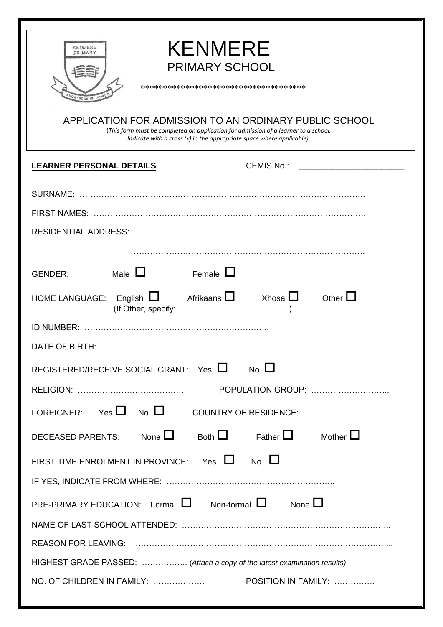| <b>KENMERE</b><br>KENMERE<br>PRIMARY<br><b>PRIMARY SCHOOL</b><br>**************************************<br>VLEDGE 15<br>APPLICATION FOR ADMISSION TO AN ORDINARY PUBLIC SCHOOL<br>(This form must be completed on application for admission of a learner to a school.<br>Indicate with a cross (x) in the appropriate space where applicable). |  |  |
|------------------------------------------------------------------------------------------------------------------------------------------------------------------------------------------------------------------------------------------------------------------------------------------------------------------------------------------------|--|--|
| CEMIS No.: <u>_____________________</u><br><b>LEARNER PERSONAL DETAILS</b>                                                                                                                                                                                                                                                                     |  |  |
|                                                                                                                                                                                                                                                                                                                                                |  |  |
| Male $\Box$<br>Female $\Box$<br><b>GENDER:</b>                                                                                                                                                                                                                                                                                                 |  |  |
| Other $\square$<br>English $\Box$ Afrikaans $\Box$ Xhosa $\Box$<br><b>HOME LANGUAGE:</b><br>ID NUMBER:                                                                                                                                                                                                                                         |  |  |
| $\overline{\phantom{a}}$ No $\overline{\phantom{a}}$<br>REGISTERED/RECEIVE SOCIAL GRANT: Yes LI                                                                                                                                                                                                                                                |  |  |
| <b>POPULATION GROUP:</b>                                                                                                                                                                                                                                                                                                                       |  |  |
| FOREIGNER: Yes $\Box$ No $\Box$<br>COUNTRY OF RESIDENCE:                                                                                                                                                                                                                                                                                       |  |  |
| Both $\Box$ Father $\Box$<br>DECEASED PARENTS: None $\Box$<br>Mother $\Box$                                                                                                                                                                                                                                                                    |  |  |
| FIRST TIME ENROLMENT IN PROVINCE: Yes $\Box$ No $\Box$                                                                                                                                                                                                                                                                                         |  |  |
| PRE-PRIMARY EDUCATION: Formal $\Box$ Non-formal $\Box$ None $\Box$                                                                                                                                                                                                                                                                             |  |  |
| HIGHEST GRADE PASSED:  (Attach a copy of the latest examination results)<br>NO. OF CHILDREN IN FAMILY:<br>POSITION IN FAMILY:                                                                                                                                                                                                                  |  |  |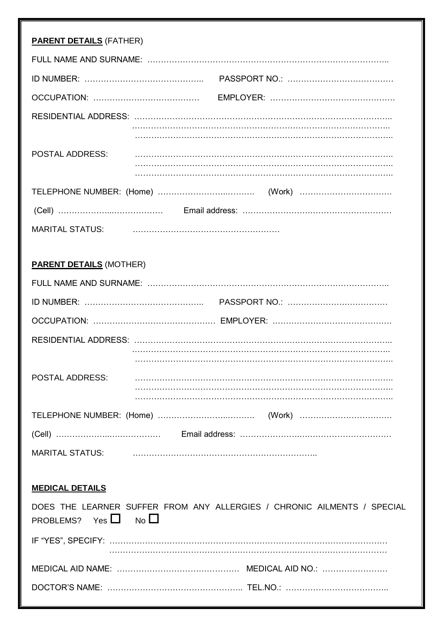| <b>PARENT DETAILS (FATHER)</b> |                                                                         |
|--------------------------------|-------------------------------------------------------------------------|
|                                |                                                                         |
|                                |                                                                         |
|                                |                                                                         |
|                                |                                                                         |
|                                |                                                                         |
| <b>POSTAL ADDRESS:</b>         |                                                                         |
|                                |                                                                         |
|                                |                                                                         |
|                                |                                                                         |
| <b>MARITAL STATUS:</b>         |                                                                         |
|                                |                                                                         |
| <b>PARENT DETAILS (MOTHER)</b> |                                                                         |
|                                |                                                                         |
|                                |                                                                         |
|                                |                                                                         |
|                                |                                                                         |
|                                |                                                                         |
| <b>POSTAL ADDRESS:</b>         |                                                                         |
|                                |                                                                         |
|                                |                                                                         |
|                                |                                                                         |
| <b>MARITAL STATUS:</b>         |                                                                         |
|                                |                                                                         |
| <b>MEDICAL DETAILS</b>         |                                                                         |
| PROBLEMS? Yes $\Box$ No $\Box$ | DOES THE LEARNER SUFFER FROM ANY ALLERGIES / CHRONIC AILMENTS / SPECIAL |
|                                |                                                                         |
|                                |                                                                         |
|                                |                                                                         |
|                                |                                                                         |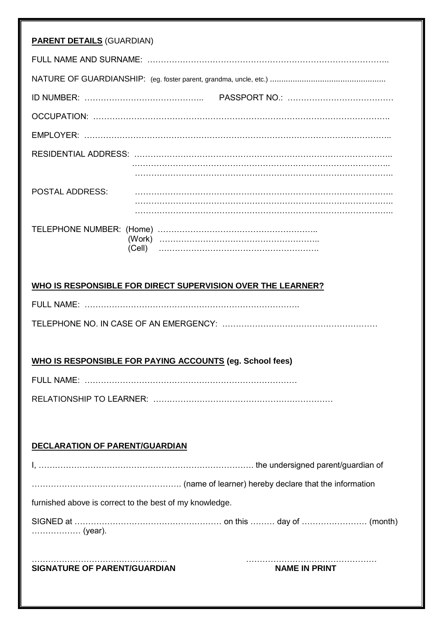| <b>PARENT DETAILS (GUARDIAN)</b>                            |
|-------------------------------------------------------------|
|                                                             |
|                                                             |
|                                                             |
|                                                             |
|                                                             |
|                                                             |
|                                                             |
| <b>POSTAL ADDRESS:</b>                                      |
|                                                             |
| WHO IS RESPONSIBLE FOR DIRECT SUPERVISION OVER THE LEARNER? |
|                                                             |
|                                                             |
|                                                             |
| WHO IS RESPONSIBLE FOR PAYING ACCOUNTS (eg. School fees)    |
|                                                             |
|                                                             |
|                                                             |
| <b>DECLARATION OF PARENT/GUARDIAN</b>                       |
|                                                             |
|                                                             |
| furnished above is correct to the best of my knowledge.     |
| (year).                                                     |
| <b>SIGNATURE OF PARENT/GUARDIAN</b><br><b>NAME IN PRINT</b> |